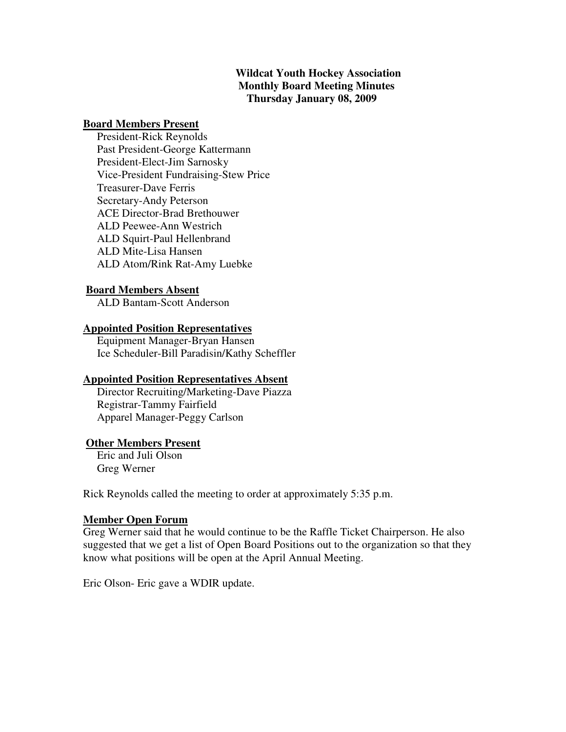## **Wildcat Youth Hockey Association Monthly Board Meeting Minutes Thursday January 08, 2009**

#### **Board Members Present**

 President-Rick Reynolds Past President-George Kattermann President-Elect-Jim Sarnosky Vice-President Fundraising-Stew Price Treasurer-Dave Ferris Secretary-Andy Peterson ACE Director-Brad Brethouwer ALD Peewee-Ann Westrich ALD Squirt-Paul Hellenbrand ALD Mite-Lisa Hansen ALD Atom/Rink Rat-Amy Luebke

#### **Board Members Absent**

ALD Bantam-Scott Anderson

#### **Appointed Position Representatives**

 Equipment Manager-Bryan Hansen Ice Scheduler-Bill Paradisin/Kathy Scheffler

## **Appointed Position Representatives Absent**

 Director Recruiting/Marketing-Dave Piazza Registrar-Tammy Fairfield Apparel Manager-Peggy Carlson

## **Other Members Present**

 Eric and Juli Olson Greg Werner

Rick Reynolds called the meeting to order at approximately 5:35 p.m.

#### **Member Open Forum**

Greg Werner said that he would continue to be the Raffle Ticket Chairperson. He also suggested that we get a list of Open Board Positions out to the organization so that they know what positions will be open at the April Annual Meeting.

Eric Olson- Eric gave a WDIR update.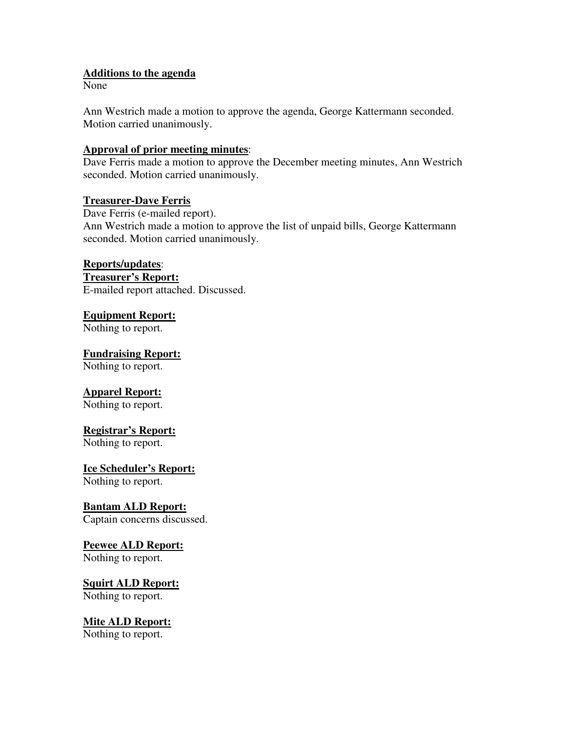## **Additions to the agenda**

None

Ann Westrich made a motion to approve the agenda, George Kattermann seconded. Motion carried unanimously.

#### **Approval of prior meeting minutes**:

Dave Ferris made a motion to approve the December meeting minutes, Ann Westrich seconded. Motion carried unanimously.

#### **Treasurer-Dave Ferris**

Dave Ferris (e-mailed report). Ann Westrich made a motion to approve the list of unpaid bills, George Kattermann seconded. Motion carried unanimously.

## **Reports/updates**:

**Treasurer's Report:** E-mailed report attached. Discussed.

# **Equipment Report:**

Nothing to report.

**Fundraising Report:**

Nothing to report.

## **Apparel Report:**

Nothing to report.

## **Registrar's Report:**

Nothing to report.

## **Ice Scheduler's Report:**

Nothing to report.

## **Bantam ALD Report:**

Captain concerns discussed.

## **Peewee ALD Report:**

Nothing to report.

#### **Squirt ALD Report:** Nothing to report.

**Mite ALD Report:** Nothing to report.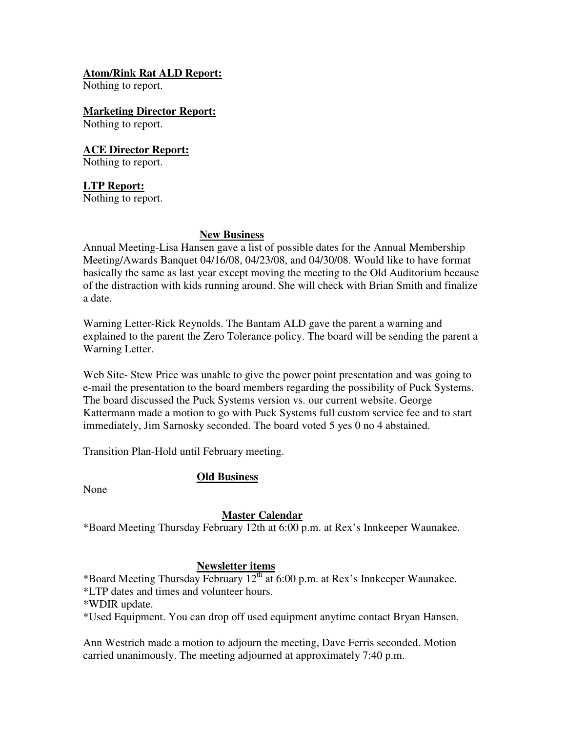## **Atom/Rink Rat ALD Report:**

Nothing to report.

**Marketing Director Report:**

Nothing to report.

**ACE Director Report:** Nothing to report.

## **LTP Report:**

Nothing to report.

## **New Business**

Annual Meeting-Lisa Hansen gave a list of possible dates for the Annual Membership Meeting/Awards Banquet 04/16/08, 04/23/08, and 04/30/08. Would like to have format basically the same as last year except moving the meeting to the Old Auditorium because of the distraction with kids running around. She will check with Brian Smith and finalize a date.

Warning Letter-Rick Reynolds. The Bantam ALD gave the parent a warning and explained to the parent the Zero Tolerance policy. The board will be sending the parent a Warning Letter.

Web Site- Stew Price was unable to give the power point presentation and was going to e-mail the presentation to the board members regarding the possibility of Puck Systems. The board discussed the Puck Systems version vs. our current website. George Kattermann made a motion to go with Puck Systems full custom service fee and to start immediately, Jim Sarnosky seconded. The board voted 5 yes 0 no 4 abstained.

Transition Plan-Hold until February meeting.

# **Old Business**

None

# **Master Calendar**

\*Board Meeting Thursday February 12th at 6:00 p.m. at Rex's Innkeeper Waunakee.

# **Newsletter items**

\*Board Meeting Thursday February 12th at 6:00 p.m. at Rex's Innkeeper Waunakee.

\*LTP dates and times and volunteer hours.

\*WDIR update.

\*Used Equipment. You can drop off used equipment anytime contact Bryan Hansen.

Ann Westrich made a motion to adjourn the meeting, Dave Ferris seconded. Motion carried unanimously. The meeting adjourned at approximately 7:40 p.m.